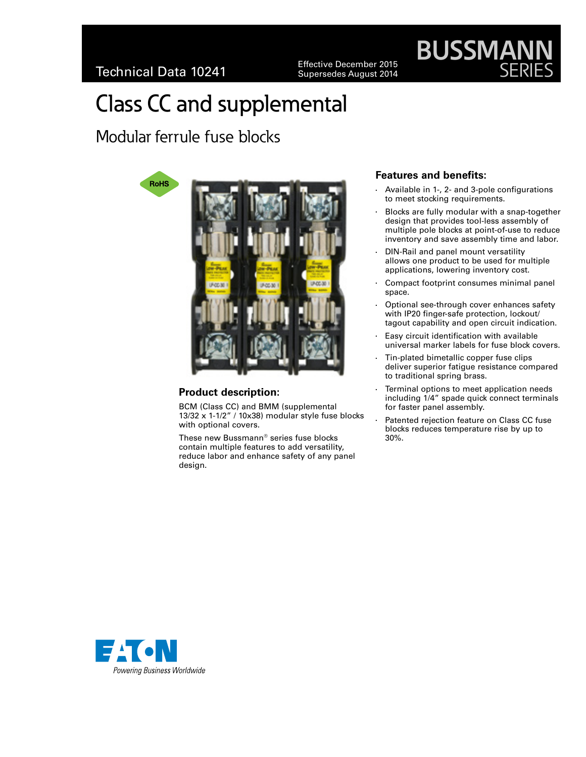Effective December 2015<br>Supersedes August 2014

# Class CC and supplemental

Modular ferrule fuse blocks



# **Product description:**

BCM (Class CC) and BMM (supplemental 13/32 x 1-1/2" / 10x38) modular style fuse blocks with optional covers.

These new Bussmann® series fuse blocks contain multiple features to add versatility, reduce labor and enhance safety of any panel design.

## **Features and benefits:**

Available in 1-, 2- and 3-pole configurations to meet stocking requirements.

**BUSSMAN** 

- Blocks are fully modular with a snap-together design that provides tool-less assembly of multiple pole blocks at point-of-use to reduce inventory and save assembly time and labor.
- DIN-Rail and panel mount versatility allows one product to be used for multiple applications, lowering inventory cost.
- Compact footprint consumes minimal panel space.
- Optional see-through cover enhances safety with IP20 finger-safe protection, lockout/ tagout capability and open circuit indication.
- Easy circuit identification with available universal marker labels for fuse block covers.
- Tin-plated bimetallic copper fuse clips deliver superior fatigue resistance compared to traditional spring brass.
- Terminal options to meet application needs including 1/4" spade quick connect terminals for faster panel assembly.
- Patented rejection feature on Class CC fuse blocks reduces temperature rise by up to 30%.

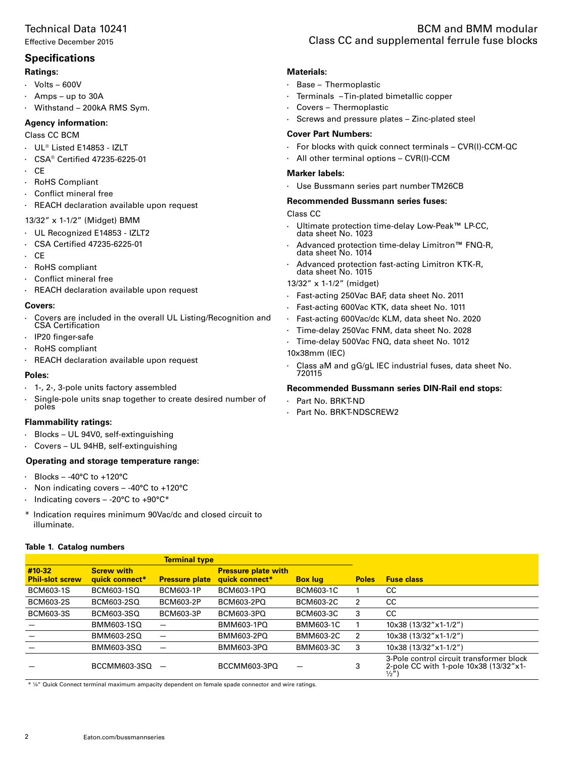## Technical Data 10241

Effective December 2015

## **Specifications**

#### **Ratings:**

- $\cdot$  Volts 600V
- $Amps up to 30A$
- $\cdot$  Withstand 200kA RMS Sym.

#### **Agency information:**

#### Class CC BCM

- • UL® Listed E14853 IZLT
- • CSA® Certified 47235-6225-01
- • CE
- **RoHS Compliant**
- • Conflict mineral free
- • REACH declaration available upon request

#### 13/32" x 1-1/2" (Midget) BMM

- • UL Recognized E14853 IZLT2
- • CSA Certified 47235-6225-01
- • CE
- RoHS compliant
- • Conflict mineral free
- • REACH declaration available upon request

#### **Covers:**

- Covers are included in the overall UL Listing/Recognition and CSA Certification
- • IP20 finger-safe
- RoHS compliant
- • REACH declaration available upon request

#### **Poles:**

- • 1-, 2-, 3-pole units factory assembled
- Single-pole units snap together to create desired number of poles

#### **Flammability ratings:**

- $\cdot$  Blocks UL 94V0, self-extinguishing
- • Covers UL 94HB, self-extinguishing

#### **Operating and storage temperature range:**

- $\cdot$  Blocks -40°C to +120°C
- Non indicating covers  $-$  -40°C to +120°C
- Indicating covers -20 $\mathrm{^{\circ}C}$  to +90 $\mathrm{^{\circ}C^{*}}$
- \* Indication requires minimum 90Vac/dc and closed circuit to illuminate.

#### **Table 1. Catalog numbers**

# BCM and BMM modular Class CC and supplemental ferrule fuse blocks

#### **Materials:**

- • Base Thermoplastic
- Terminals Tin-plated bimetallic copper
- • Covers Thermoplastic
- $\cdot$  Screws and pressure plates Zinc-plated steel

#### **Cover Part Numbers:**

- $\cdot$  For blocks with quick connect terminals CVR(I)-CCM-QC
- • All other terminal options CVR(I)-CCM

#### **Marker labels:**

• Use Bussmann series part number TM26CB

#### **Recommended Bussmann series fuses:**

Class CC

- Ultimate protection time-delay Low-Peak<sup>™</sup> LP-CC, data sheet No. 1023
- • Advanced protection time-delay Limitron**™** FNQ-R, data sheet No. 1014
- • Advanced protection fast-acting Limitron KTK-R, data sheet No. 1015
- 13/32" x 1-1/2" (midget)
- • Fast-acting 250Vac BAF, data sheet No. 2011
- • Fast-acting 600Vac KTK, data sheet No. 1011
- • Fast-acting 600Vac/dc KLM, data sheet No. 2020
- • Time-delay 250Vac FNM, data sheet No. 2028
- • Time-delay 500Vac FNQ, data sheet No. 1012
- 10x38mm (IEC)
- Class aM and gG/gL IEC industrial fuses, data sheet No. 720115

#### **Recommended Bussmann series DIN-Rail end stops:**

- • Part No. BRKT-ND
- • Part No. BRKT-NDSCREW2

| <b>Terminal type</b>             |                                     |                       |                                              |                  |              |                                                                                                        |
|----------------------------------|-------------------------------------|-----------------------|----------------------------------------------|------------------|--------------|--------------------------------------------------------------------------------------------------------|
| #10-32<br><b>Phil-slot screw</b> | <b>Screw with</b><br>quick connect* | <b>Pressure plate</b> | <b>Pressure plate with</b><br>quick connect* | <b>Box lug</b>   | <b>Poles</b> | <b>Fuse class</b>                                                                                      |
| <b>BCM603-1S</b>                 | BCM603-1SQ                          | BCM603-1P             | BCM603-1PQ                                   | BCM603-1C        |              | CС                                                                                                     |
| <b>BCM603-2S</b>                 | BCM603-2SQ                          | BCM603-2P             | BCM603-2PQ                                   | <b>BCM603-2C</b> | 2            | CC.                                                                                                    |
| BCM603-3S                        | BCM603-3SQ                          | <b>BCM603-3P</b>      | BCM603-3PQ                                   | <b>BCM603-3C</b> | 3            | CC.                                                                                                    |
|                                  | BMM603-1SQ                          |                       | BMM603-1PQ                                   | BMM603-1C        |              | 10x38 (13/32"x1-1/2")                                                                                  |
|                                  | BMM603-2SQ                          |                       | BMM603-2PQ                                   | BMM603-2C        | 2            | 10x38 (13/32"x1-1/2")                                                                                  |
|                                  | BMM603-3SQ                          |                       | BMM603-3PQ                                   | BMM603-3C        | 3            | 10x38 (13/32"x1-1/2")                                                                                  |
|                                  | BCCMM603-3SQ                        |                       | BCCMM603-3PQ                                 |                  | 3            | 3-Pole control circuit transformer block<br>2-pole CC with 1-pole 10x38 (13/32"x1-<br>$\frac{1}{2}$ ") |

\* ¼" Quick Connect terminal maximum ampacity dependent on female spade connector and wire ratings.